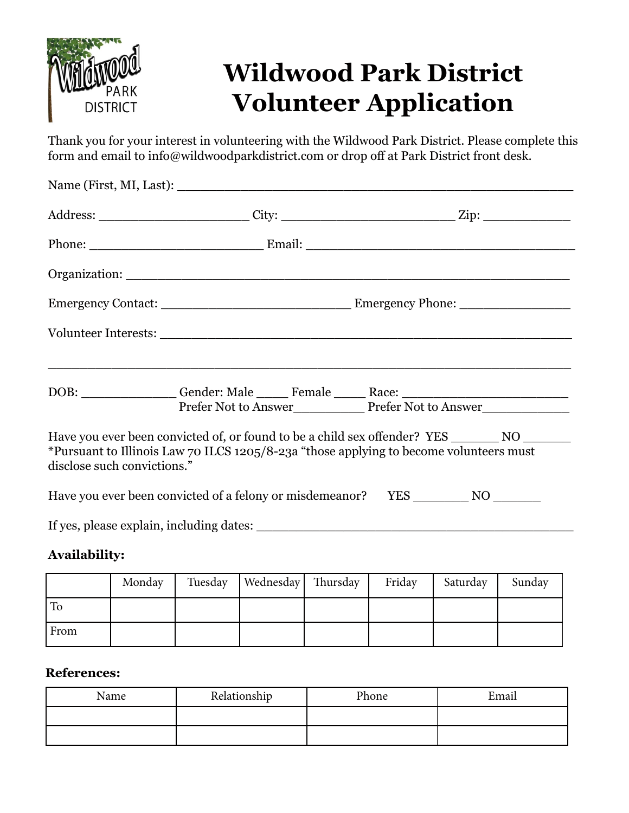

## **Wildwood Park District Volunteer Application**

Thank you for your interest in volunteering with the Wildwood Park District. Please complete this form and email to info@wildwoodparkdistrict.com or drop off at Park District front desk.

|                             |  | DOB: ________________Gender: Male ______ Female ______ Race: ____________________<br>Prefer Not to Answer<br>Prefer Not to Answer                                                |  |
|-----------------------------|--|----------------------------------------------------------------------------------------------------------------------------------------------------------------------------------|--|
| disclose such convictions." |  | Have you ever been convicted of, or found to be a child sex offender? YES _________ NO<br>*Pursuant to Illinois Law 70 ILCS 1205/8-23a "those applying to become volunteers must |  |
|                             |  |                                                                                                                                                                                  |  |
|                             |  |                                                                                                                                                                                  |  |

## **Availability:**

|      | Monday | Tuesday | Wednesday   Thursday | Friday | Saturday | Sunday |
|------|--------|---------|----------------------|--------|----------|--------|
| To   |        |         |                      |        |          |        |
| From |        |         |                      |        |          |        |

## **References:**

| Name | Relationship | Phone | Email |
|------|--------------|-------|-------|
|      |              |       |       |
|      |              |       |       |